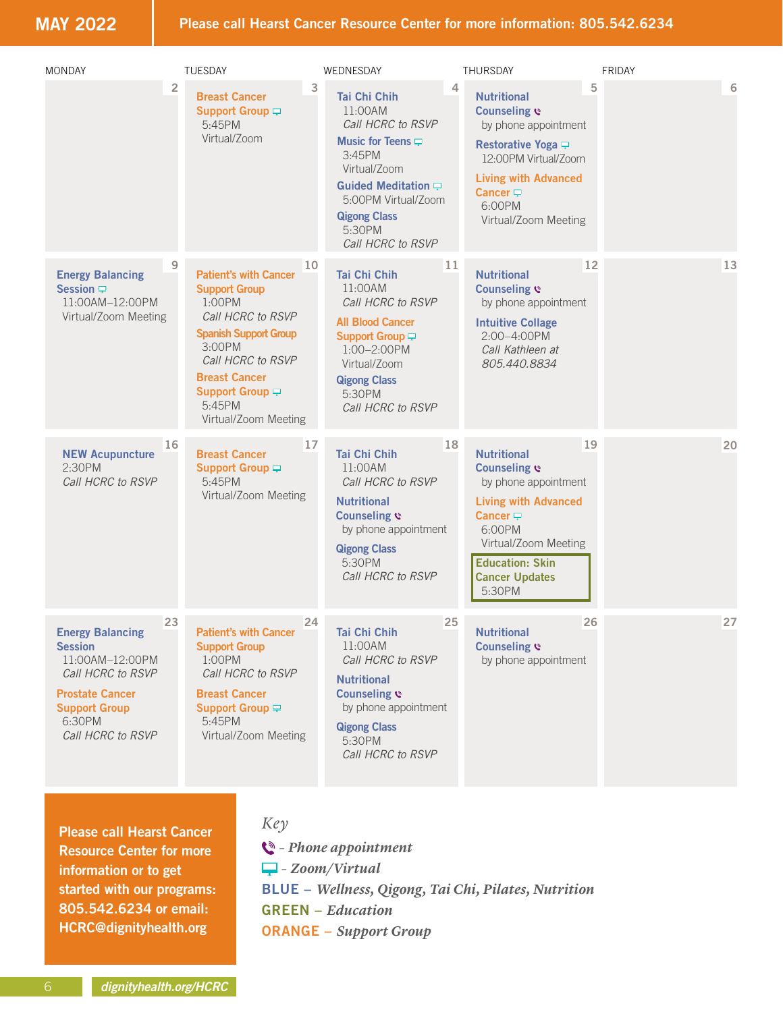**MAY 2022**

| <b>MONDAY</b>                                                                                                                                                            | <b>TUESDAY</b>                                                                                                                                                                                                                                   | WEDNESDAY                                                                                                                                                                                                        | THURSDAY                                                                                                                                                                                                    | <b>FRIDAY</b> |
|--------------------------------------------------------------------------------------------------------------------------------------------------------------------------|--------------------------------------------------------------------------------------------------------------------------------------------------------------------------------------------------------------------------------------------------|------------------------------------------------------------------------------------------------------------------------------------------------------------------------------------------------------------------|-------------------------------------------------------------------------------------------------------------------------------------------------------------------------------------------------------------|---------------|
| $\overline{\mathbf{c}}$                                                                                                                                                  | <b>Breast Cancer</b><br>Support Group -<br>5:45PM<br>Virtual/Zoom                                                                                                                                                                                | 3<br><b>Tai Chi Chih</b><br>11:00AM<br>Call HCRC to RSVP<br>Music for Teens $\Box$<br>3:45PM<br>Virtual/Zoom<br>Guided Meditation P<br>5:00PM Virtual/Zoom<br><b>Qigong Class</b><br>5:30PM<br>Call HCRC to RSVP | 4<br><b>Nutritional</b><br>Counseling $e$<br>by phone appointment<br>Restorative Yoga $\equiv$<br>12:00PM Virtual/Zoom<br><b>Living with Advanced</b><br>Cancer $\Box$<br>6:00PM<br>Virtual/Zoom Meeting    | 5<br>6        |
| 9<br><b>Energy Balancing</b><br>Session $\Box$<br>11:00AM-12:00PM<br>Virtual/Zoom Meeting                                                                                | 10<br><b>Patient's with Cancer</b><br><b>Support Group</b><br>$1:00$ PM<br>Call HCRC to RSVP<br><b>Spanish Support Group</b><br>3:00PM<br>Call HCRC to RSVP<br><b>Breast Cancer</b><br>Support Group $\Box$<br>$5.45$ PM<br>Virtual/Zoom Meeting | 11<br><b>Tai Chi Chih</b><br>11:00AM<br>Call HCRC to RSVP<br><b>All Blood Cancer</b><br>Support Group<br>1:00-2:00PM<br>Virtual/Zoom<br><b>Qigong Class</b><br>5:30PM<br>Call HCRC to RSVP                       | <b>Nutritional</b><br>Counseling $e$<br>by phone appointment<br><b>Intuitive Collage</b><br>2:00-4:00PM<br>Call Kathleen at<br>805.440.8834                                                                 | 12<br>13      |
| 16<br><b>NEW Acupuncture</b><br>2:30PM<br>Call HCRC to RSVP                                                                                                              | 17<br><b>Breast Cancer</b><br>Support Group -<br>5:45PM<br>Virtual/Zoom Meeting                                                                                                                                                                  | 18<br>Tai Chi Chih<br>11:00AM<br>Call HCRC to RSVP<br><b>Nutritional</b><br>Counseling $e$<br>by phone appointment<br><b>Qigong Class</b><br>5:30PM<br>Call HCRC to RSVP                                         | <b>Nutritional</b><br>Counseling $e$<br>by phone appointment<br><b>Living with Advanced</b><br>Cancer $\Box$<br>6:00PM<br>Virtual/Zoom Meeting<br><b>Education: Skin</b><br><b>Cancer Updates</b><br>5:30PM | 19<br>20      |
| 23<br><b>Energy Balancing</b><br><b>Session</b><br>11:00AM-12:00PM<br>Call HCRC to RSVP<br><b>Prostate Cancer</b><br><b>Support Group</b><br>6:30PM<br>Call HCRC to RSVP | 24<br><b>Patient's with Cancer</b><br><b>Support Group</b><br>1:00PM<br>Call HCRC to RSVP<br><b>Breast Cancer</b><br>Support Group ₽<br>5:45PM<br>Virtual/Zoom Meeting                                                                           | 25<br>Tai Chi Chih<br>11:00AM<br>Call HCRC to RSVP<br><b>Nutritional</b><br><b>Counseling &amp;</b><br>by phone appointment<br><b>Qigong Class</b><br>5:30PM<br>Call HCRC to RSVP                                | <b>Nutritional</b><br><b>Counseling &amp;</b><br>by phone appointment                                                                                                                                       | 27<br>26      |

**Please call Hearst Cancer Resource Center for more information or to get started with our programs: 805.542.6234 or email: HCRC@dignityhealth.org**

### *Key*

 *– Phone appointment – Zoom/Virtual* **BLUE –** *Wellness, Qigong, Tai Chi, Pilates, Nutrition* **GREEN –** *Education* **ORANGE –** *Support Group*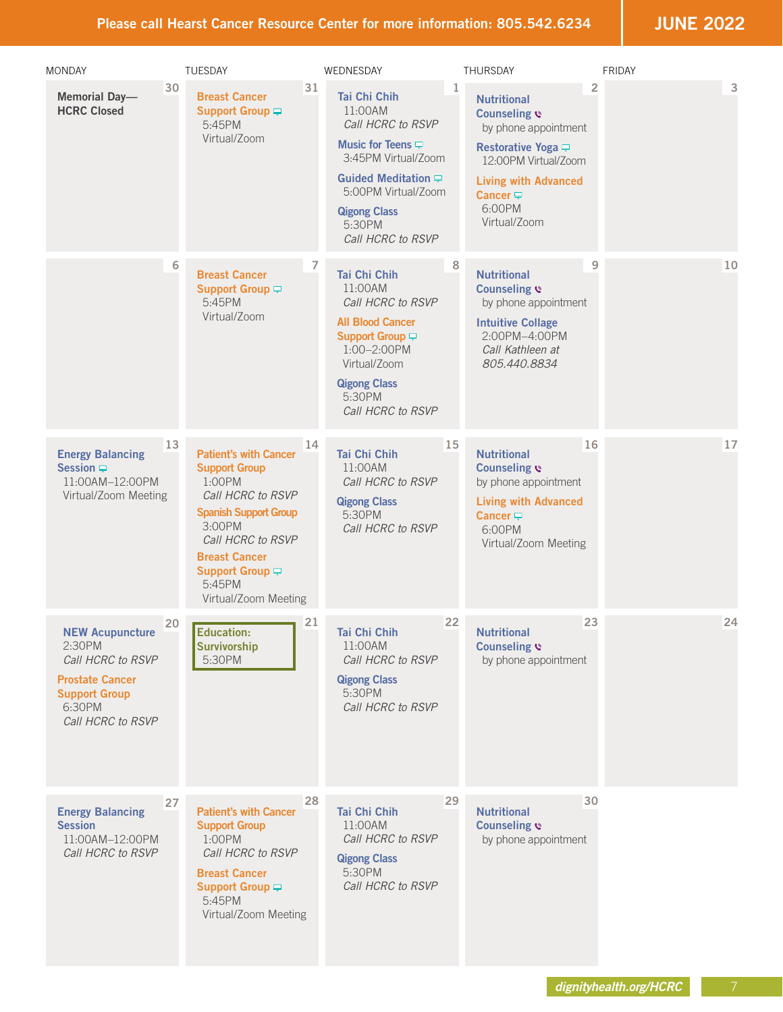**JUNE 2022**

| <b>MONDAY</b>                                                                                                                          | TUESDAY                                                                                                                                                                                                                                          |    | WEDNESDAY                                                                                                                                                                                                     |    | <b>THURSDAY</b>                                                                                                                                                                                     |    | FRIDAY |
|----------------------------------------------------------------------------------------------------------------------------------------|--------------------------------------------------------------------------------------------------------------------------------------------------------------------------------------------------------------------------------------------------|----|---------------------------------------------------------------------------------------------------------------------------------------------------------------------------------------------------------------|----|-----------------------------------------------------------------------------------------------------------------------------------------------------------------------------------------------------|----|--------|
| <b>Memorial Day-</b><br><b>HCRC Closed</b>                                                                                             | 30<br><b>Breast Cancer</b><br>Support Group -<br>5:45PM<br>Virtual/Zoom                                                                                                                                                                          | 31 | <b>Tai Chi Chih</b><br>11:00AM<br>Call HCRC to RSVP<br>Music for Teens $\Box$<br>3:45PM Virtual/Zoom<br>Guided Meditation $\Box$<br>5:00PM Virtual/Zoom<br><b>Qigong Class</b><br>5:30PM<br>Call HCRC to RSVP | 1  | <b>Nutritional</b><br>Counseling &<br>by phone appointment<br>Restorative Yoga $\Box$<br>12:00PM Virtual/Zoom<br><b>Living with Advanced</b><br>Cancer $\rightleftarrows$<br>6:00PM<br>Virtual/Zoom | 2  | 3      |
|                                                                                                                                        | 6<br><b>Breast Cancer</b><br><b>Support Group</b> ₽<br>5:45PM<br>Virtual/Zoom                                                                                                                                                                    |    | Tai Chi Chih<br>11:00AM<br>Call HCRC to RSVP<br><b>All Blood Cancer</b><br>Support Group $\Box$<br>1:00-2:00PM<br>Virtual/Zoom<br><b>Qigong Class</b><br>5:30PM<br>Call HCRC to RSVP                          | 8  | <b>Nutritional</b><br>Counseling $e$<br>by phone appointment<br><b>Intuitive Collage</b><br>2:00PM-4:00PM<br>Call Kathleen at<br>805,440,8834                                                       | 9  | 10     |
| <b>Energy Balancing</b><br>Session $\Box$<br>11:00AM-12:00PM<br>Virtual/Zoom Meeting                                                   | 13<br><b>Patient's with Cancer</b><br><b>Support Group</b><br>1:00PM<br>Call HCRC to RSVP<br><b>Spanish Support Group</b><br>3:00PM<br>Call HCRC to RSVP<br><b>Breast Cancer</b><br>Support Group <del>P</del><br>5:45PM<br>Virtual/Zoom Meeting | 14 | Tai Chi Chih<br>11:00AM<br>Call HCRC to RSVP<br><b>Qigong Class</b><br>5:30PM<br>Call HCRC to RSVP                                                                                                            | 15 | <b>Nutritional</b><br>Counseling<br>by phone appointment<br><b>Living with Advanced</b><br>Cancer $\rightleftarrows$<br>6:00PM<br>Virtual/Zoom Meeting                                              | 16 | 17     |
| <b>NEW Acupuncture</b><br>2:30PM<br>Call HCRC to RSVP<br><b>Prostate Cancer</b><br><b>Support Group</b><br>6:30PM<br>Call HCRC to RSVP | 20<br><b>Education:</b><br><b>Survivorship</b><br>5:30PM                                                                                                                                                                                         | 21 | Tai Chi Chih<br>11:00AM<br>Call HCRC to RSVP<br><b>Qigong Class</b><br>5:30PM<br>Call HCRC to RSVP                                                                                                            | 22 | <b>Nutritional</b><br><b>Counseling &amp;</b><br>by phone appointment                                                                                                                               | 23 | 24     |
| <b>Energy Balancing</b><br><b>Session</b><br>11:00AM-12:00PM<br>Call HCRC to RSVP                                                      | 27<br><b>Patient's with Cancer</b><br><b>Support Group</b><br>$1:00$ PM<br>Call HCRC to RSVP<br><b>Breast Cancer</b><br>Support Group <del></del><br>5:45PM<br>Virtual/Zoom Meeting                                                              | 28 | Tai Chi Chih<br>11:00AM<br>Call HCRC to RSVP<br><b>Qigong Class</b><br>5:30PM<br>Call HCRC to RSVP                                                                                                            | 29 | <b>Nutritional</b><br>Counseling $e$<br>by phone appointment                                                                                                                                        | 30 |        |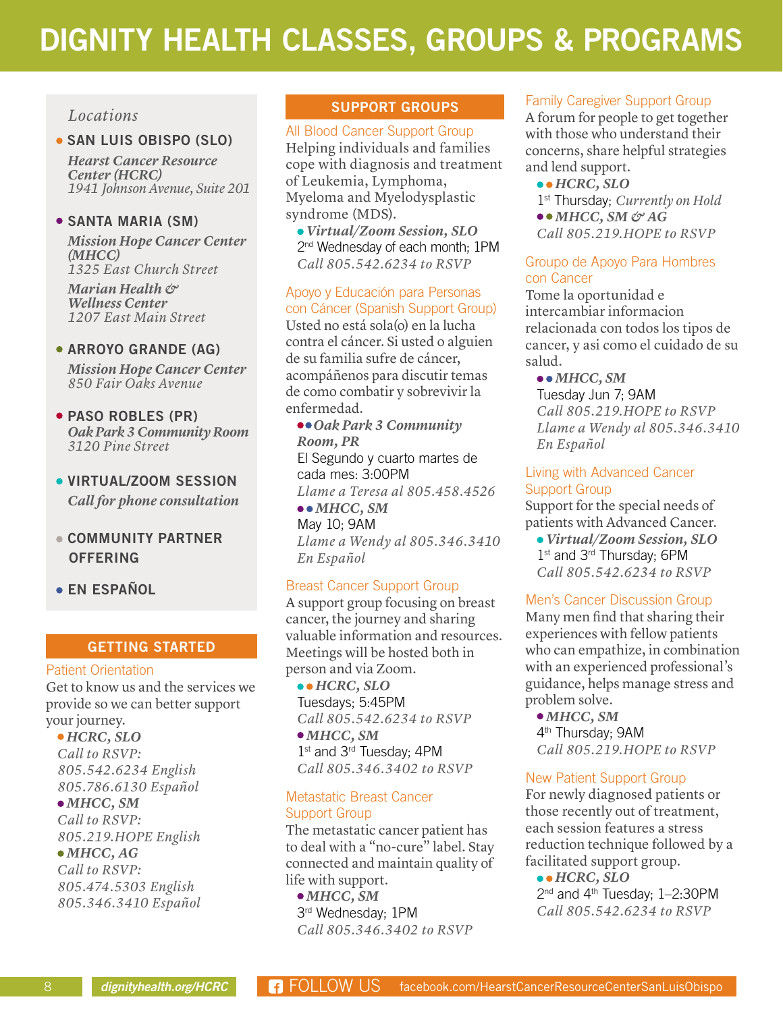# **DIGNITY HEALTH CLASSES, GROUPS & PROGRAMS**

#### *Locations*

#### **SAN LUIS OBISPO (SLO)**

*Hearst Cancer Resource Center (HCRC) 1941 Johnson Avenue, Suite 201*

#### **SANTA MARIA (SM)**

*Mission Hope Cancer Center (MHCC) 1325 East Church Street*

*Marian Health & Wellness Center 1207 East Main Street*

#### **ARROYO GRANDE (AG)**

*Mission Hope Cancer Center 850 Fair Oaks Avenue*

- **PASO ROBLES (PR)**  *Oak Park 3 Community Room 3120 Pine Street*
- **VIRTUAL/ZOOM SESSION** *Call for phone consultation*
- **COMMUNITY PARTNER OFFERING**
- **EN ESPAÑOL**

#### **GETTING STARTED**

#### Patient Orientation

Get to know us and the services we provide so we can better support your journey.

 *HCRC, SLO Call to RSVP: 805.542.6234 English 805.786.6130 Español MHCC, SM*

*Call to RSVP:* 

#### *805.219.HOPE English*

 *MHCC, AG Call to RSVP:*

*805.474.5303 English 805.346.3410 Español*

#### **SUPPORT GROUPS**

#### All Blood Cancer Support Group

Helping individuals and families cope with diagnosis and treatment of Leukemia, Lymphoma, Myeloma and Myelodysplastic syndrome (MDS).

 *Virtual/Zoom Session, SLO* 2<sup>nd</sup> Wednesday of each month; 1PM *Call 805.542.6234 to RSVP*

#### Apoyo y Educación para Personas con Cáncer (Spanish Support Group)

Usted no está sola(o) en la lucha contra el cáncer. Si usted o alguien de su familia sufre de cáncer, acompáñenos para discutir temas de como combatir y sobrevivir la enfermedad.

*Oak Park 3 Community Room, PR*  El Segundo y cuarto martes de cada mes: 3:00PM *Llame a Teresa al 805.458.4526 MHCC, SM* May 10; 9AM

*Llame a Wendy al 805.346.3410 En Español*

#### Breast Cancer Support Group

A support group focusing on breast cancer, the journey and sharing valuable information and resources. Meetings will be hosted both in person and via Zoom.

 *HCRC, SLO* Tuesdays; 5:45PM *Call 805.542.6234 to RSVP MHCC, SM* 1st and 3<sup>rd</sup> Tuesday; 4PM *Call 805.346.3402 to RSVP*

#### Metastatic Breast Cancer Support Group

The metastatic cancer patient has to deal with a "no-cure" label. Stay connected and maintain quality of life with support.

 *MHCC, SM* 3rd Wednesday; 1PM *Call 805.346.3402 to RSVP*

#### Family Caregiver Support Group

A forum for people to get together with those who understand their concerns, share helpful strategies and lend support.

- *HCRC, SLO*
- 1st Thursday; *Currently on Hold*
- $\bullet \bullet$  *MHCC, SM & AG*
- *Call 805.219.HOPE to RSVP*

#### Groupo de Apoyo Para Hombres con Cancer

Tome la oportunidad e intercambiar informacion relacionada con todos los tipos de cancer, y asi como el cuidado de su salud.

#### *MHCC, SM*

Tuesday Jun 7; 9AM *Call 805.219.HOPE to RSVP Llame a Wendy al 805.346.3410 En Español*

#### Living with Advanced Cancer Support Group

Support for the special needs of patients with Advanced Cancer.

 *Virtual/Zoom Session, SLO* 1<sup>st</sup> and 3<sup>rd</sup> Thursday; 6PM *Call 805.542.6234 to RSVP*

#### Men's Cancer Discussion Group

Many men find that sharing their experiences with fellow patients who can empathize, in combination with an experienced professional's guidance, helps manage stress and problem solve.

 *MHCC, SM* 4<sup>th</sup> Thursday; 9AM *Call 805.219.HOPE to RSVP*

#### New Patient Support Group

For newly diagnosed patients or those recently out of treatment, each session features a stress reduction technique followed by a facilitated support group.

 *HCRC, SLO* 2<sup>nd</sup> and 4<sup>th</sup> Tuesday: 1-2:30PM *Call 805.542.6234 to RSVP*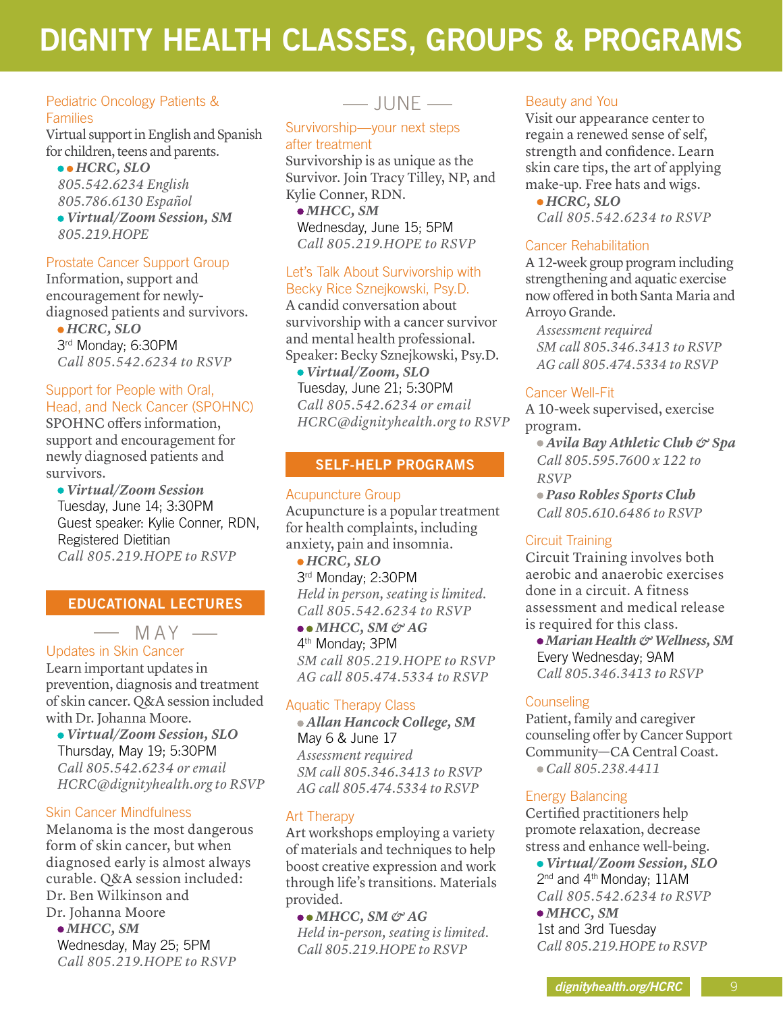# **DIGNITY HEALTH CLASSES, GROUPS & PROGRAMS**

#### Pediatric Oncology Patients & Families

Virtual support in English and Spanish for children, teens and parents.

 *HCRC, SLO 805.542.6234 English 805.786.6130 Español Virtual/Zoom Session, SM 805.219.HOPE*

#### Prostate Cancer Support Group

Information, support and encouragement for newlydiagnosed patients and survivors.

 *HCRC, SLO* 3rd Monday; 6:30PM *Call 805.542.6234 to RSVP*

#### Support for People with Oral, Head, and Neck Cancer (SPOHNC)

SPOHNC offers information, support and encouragement for newly diagnosed patients and survivors.

 *Virtual/Zoom Session* Tuesday, June 14; 3:30PM Guest speaker: Kylie Conner, RDN, Registered Dietitian *Call 805.219.HOPE to RSVP*

#### **EDUCATIONAL LECTURES**

 $MAY$  —

#### Updates in Skin Cancer

Learn important updates in prevention, diagnosis and treatment of skin cancer. Q&A session included with Dr. Johanna Moore.

 *Virtual/Zoom Session, SLO*  Thursday, May 19; 5:30PM *Call 805.542.6234 or email HCRC@dignityhealth.org to RSVP*

#### Skin Cancer Mindfulness

Melanoma is the most dangerous form of skin cancer, but when diagnosed early is almost always curable. Q&A session included: Dr. Ben Wilkinson and Dr. Johanna Moore

 *MHCC, SM* Wednesday, May 25; 5PM *Call 805.219.HOPE to RSVP*

### $-$  JUNE  $-$

#### Survivorship—your next steps after treatment

Survivorship is as unique as the Survivor. Join Tracy Tilley, NP, and Kylie Conner, RDN.

 *MHCC, SM* Wednesday, June 15; 5PM *Call 805.219.HOPE to RSVP*

#### Let's Talk About Survivorship with Becky Rice Sznejkowski, Psy.D.

A candid conversation about survivorship with a cancer survivor and mental health professional. Speaker: Becky Sznejkowski, Psy.D.

 *Virtual/Zoom, SLO*  Tuesday, June 21; 5:30PM *Call 805.542.6234 or email HCRC@dignityhealth.org to RSVP*

#### **SELF-HELP PROGRAMS**

#### Acupuncture Group Acupuncture is a popular treatment for health complaints, including anxiety, pain and insomnia.

 *HCRC, SLO* 3rd Monday; 2:30PM *Held in person, seating is limited. Call 805.542.6234 to RSVP*

 *MHCC, SM & AG* 4th Monday; 3PM *SM call 805.219.HOPE to RSVP AG call 805.474.5334 to RSVP*

#### Aquatic Therapy Class

 *Allan Hancock College, SM* May 6 & June 17 *Assessment required SM call 805.346.3413 to RSVP AG call 805.474.5334 to RSVP*

#### Art Therapy

Art workshops employing a variety of materials and techniques to help boost creative expression and work through life's transitions. Materials provided.

 $\bullet \bullet$  *MHCC, SM & AG Held in-person, seating is limited. Call 805.219.HOPE to RSVP*

#### Beauty and You

Visit our appearance center to regain a renewed sense of self, strength and confidence. Learn skin care tips, the art of applying make-up. Free hats and wigs.

 *HCRC, SLO Call 805.542.6234 to RSVP* 

#### Cancer Rehabilitation

A 12-week group program including strengthening and aquatic exercise now offered in both Santa Maria and Arroyo Grande.

*Assessment required SM call 805.346.3413 to RSVP AG call 805.474.5334 to RSVP*

#### Cancer Well-Fit

A 10-week supervised, exercise program.

 *Avila Bay Athletic Club & Spa Call 805.595.7600 x 122 to RSVP*

 *Paso Robles Sports Club Call 805.610.6486 to RSVP*

#### Circuit Training

Circuit Training involves both aerobic and anaerobic exercises done in a circuit. A fitness assessment and medical release is required for this class.

 *Marian Health & Wellness, SM* Every Wednesday; 9AM *Call 805.346.3413 to RSVP* 

#### **Counseling**

Patient, family and caregiver counseling offer by Cancer Support Community—CA Central Coast.  *Call 805.238.4411*

#### Energy Balancing

Certified practitioners help promote relaxation, decrease stress and enhance well-being.  *Virtual/Zoom Session, SLO* 2<sup>nd</sup> and 4<sup>th</sup> Monday; 11AM *Call 805.542.6234 to RSVP MHCC, SM* 1st and 3rd Tuesday *Call 805.219.HOPE to RSVP*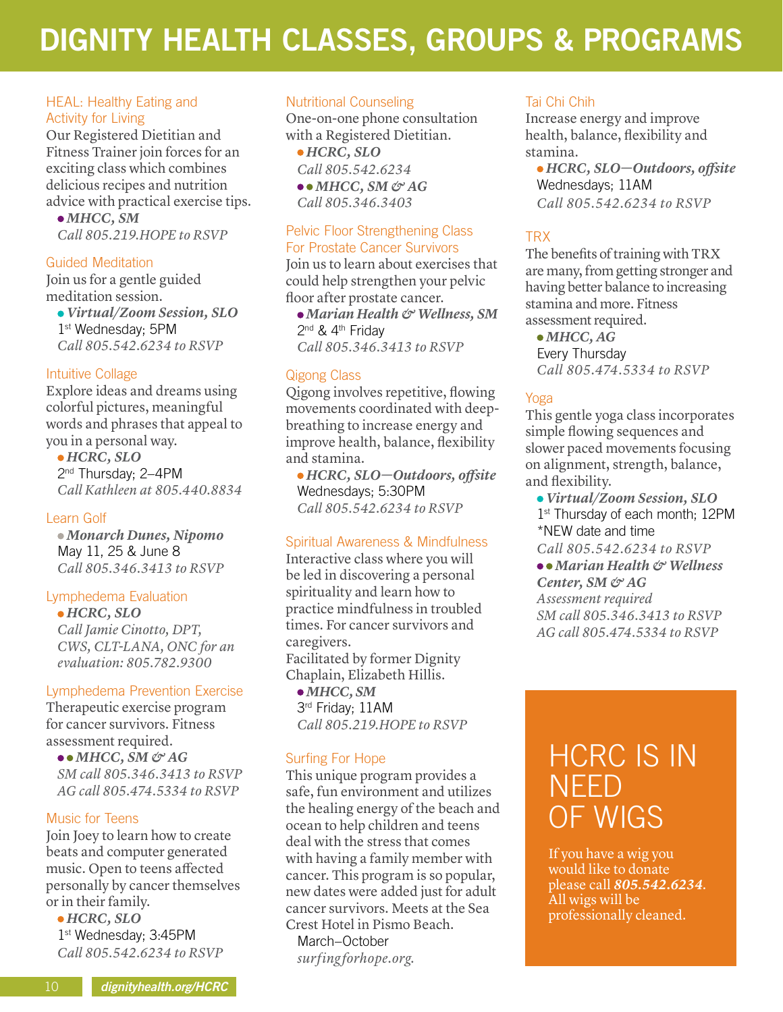# **DIGNITY HEALTH CLASSES, GROUPS & PROGRAMS**

#### HEAL: Healthy Eating and Activity for Living

Our Registered Dietitian and Fitness Trainer join forces for an exciting class which combines delicious recipes and nutrition advice with practical exercise tips.

 *MHCC, SM Call 805.219.HOPE to RSVP*

#### Guided Meditation

Join us for a gentle guided meditation session.

 *Virtual/Zoom Session, SLO* 1st Wednesday; 5PM *Call 805.542.6234 to RSVP*

#### Intuitive Collage

Explore ideas and dreams using colorful pictures, meaningful words and phrases that appeal to you in a personal way.  *HCRC, SLO* 2<sup>nd</sup> Thursday; 2-4PM

*Call Kathleen at 805.440.8834*

#### Learn Golf

*Monarch Dunes, Nipomo*  May 11, 25 & June 8 *Call 805.346.3413 to RSVP*

#### Lymphedema Evaluation

 *HCRC, SLO Call Jamie Cinotto, DPT, CWS, CLT-LANA, ONC for an evaluation: 805.782.9300*

#### Lymphedema Prevention Exercise

Therapeutic exercise program for cancer survivors. Fitness assessment required.

 $\bullet \bullet$  *MHCC*, *SM* & *AG SM call 805.346.3413 to RSVP AG call 805.474.5334 to RSVP*

#### Music for Teens

Join Joey to learn how to create beats and computer generated music. Open to teens affected personally by cancer themselves or in their family.

 *HCRC, SLO* 1st Wednesday; 3:45PM *Call 805.542.6234 to RSVP* 

#### Nutritional Counseling

One-on-one phone consultation with a Registered Dietitian.  *HCRC, SLO Call 805.542.6234 MHCC, SM & AG Call 805.346.3403*

#### Pelvic Floor Strengthening Class For Prostate Cancer Survivors

Join us to learn about exercises that could help strengthen your pelvic floor after prostate cancer.

 *Marian Health & Wellness, SM* 2<sup>nd</sup> & 4<sup>th</sup> Friday *Call 805.346.3413 to RSVP*

#### Qigong Class

Qigong involves repetitive, flowing movements coordinated with deepbreathing to increase energy and improve health, balance, flexibility and stamina.

 *HCRC, SLO—Outdoors, offsite* Wednesdays; 5:30PM *Call 805.542.6234 to RSVP*

#### Spiritual Awareness & Mindfulness

Interactive class where you will be led in discovering a personal spirituality and learn how to practice mindfulness in troubled times. For cancer survivors and caregivers. Facilitated by former Dignity Chaplain, Elizabeth Hillis.  *MHCC, SM*

3rd Friday; 11AM *Call 805.219.HOPE to RSVP*

#### Surfing For Hope

This unique program provides a safe, fun environment and utilizes the healing energy of the beach and ocean to help children and teens deal with the stress that comes with having a family member with cancer. This program is so popular, new dates were added just for adult cancer survivors. Meets at the Sea Crest Hotel in Pismo Beach. March–October *surfing forhope.org.*

#### Tai Chi Chih

Increase energy and improve health, balance, flexibility and stamina.

 *HCRC, SLO—Outdoors, offsite* Wednesdays; 11AM *Call 805.542.6234 to RSVP*

#### TRX

The benefits of training with TRX are many, from getting stronger and having better balance to increasing stamina and more. Fitness assessment required.

 *MHCC, AG* Every Thursday *Call 805.474.5334 to RSVP*

#### Yoga

This gentle yoga class incorporates simple flowing sequences and slower paced movements focusing on alignment, strength, balance, and flexibility.

 *Virtual/Zoom Session, SLO* 1st Thursday of each month; 12PM \*NEW date and time

*Call 805.542.6234 to RSVP*

 *Marian Health & Wellness Center, SM & AG Assessment required SM call 805.346.3413 to RSVP AG call 805.474.5334 to RSVP*

## HCRC IS IN NEED OF WIGS

If you have a wig you would like to donate please call *805.542.6234*. All wigs will be professionally cleaned.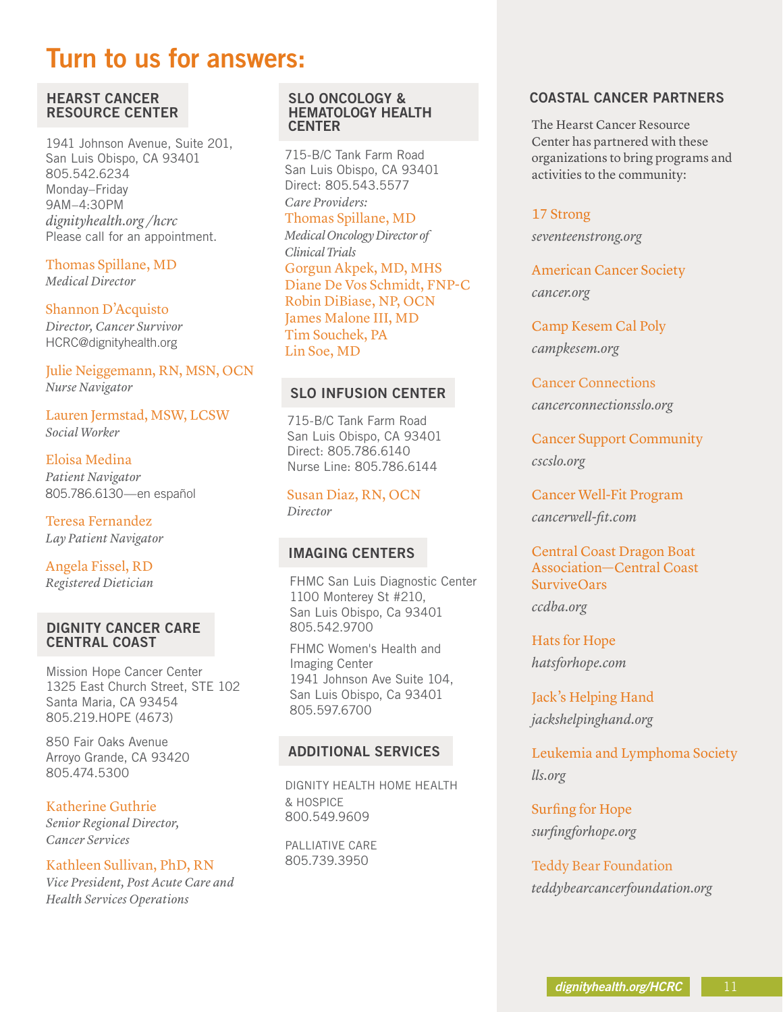## **Turn to us for answers:**

#### **HEARST CANCER RESOURCE CENTER**

1941 Johnson Avenue, Suite 201, San Luis Obispo, CA 93401 805.542.6234 Monday–Friday 9AM–4:30PM *dignityhealth.org /hcrc* Please call for an appointment.

Thomas Spillane, MD *Medical Director*

#### Shannon D'Acquisto

*Director, Cancer Survivor* HCRC@dignityhealth.org

Julie Neiggemann, RN, MSN, OCN *Nurse Navigator*

Lauren Jermstad, MSW, LCSW *Social Worker*

Eloisa Medina *Patient Navigator* 805.786.6130—en español

Teresa Fernandez *Lay Patient Navigator*

Angela Fissel, RD *Registered Dietician*

#### **DIGNITY CANCER CARE CENTRAL COAST**

Mission Hope Cancer Center 1325 East Church Street, STE 102 Santa Maria, CA 93454 805.219.HOPE (4673)

850 Fair Oaks Avenue Arroyo Grande, CA 93420 805.474.5300

Katherine Guthrie *Senior Regional Director, Cancer Services*

Kathleen Sullivan, PhD, RN *Vice President, Post Acute Care and Health Services Operations*

#### **SLO ONCOLOGY & HEMATOLOGY HEALTH CENTER**

715-B/C Tank Farm Road San Luis Obispo, CA 93401 Direct: 805.543.5577

*Care Providers:* Thomas Spillane, MD

*Medical Oncology Director of* 

*Clinical Trials* Gorgun Akpek, MD, MHS Diane De Vos Schmidt, FNP-C Robin DiBiase, NP, OCN James Malone III, MD Tim Souchek, PA Lin Soe, MD

#### **SLO INFUSION CENTER**

715-B/C Tank Farm Road San Luis Obispo, CA 93401 Direct: 805.786.6140 Nurse Line: 805.786.6144

Susan Diaz, RN, OCN *Director*

#### **IMAGING CENTERS**

FHMC San Luis Diagnostic Center 1100 Monterey St #210, San Luis Obispo, Ca 93401 805.542.9700

FHMC Women's Health and Imaging Center 1941 Johnson Ave Suite 104, San Luis Obispo, Ca 93401 805.597.6700

#### **ADDITIONAL SERVICES**

DIGNITY HEALTH HOME HEALTH & HOSPICE 800.549.9609

PALLIATIVE CARE 805.739.3950

#### **COASTAL CANCER PARTNERS**

The Hearst Cancer Resource Center has partnered with these organizations to bring programs and activities to the community:

#### 17 Strong

*seventeenstrong.org*

American Cancer Society *cancer.org*

Camp Kesem Cal Poly *campkesem.org*

Cancer Connections *cancerconnectionsslo.org* 

Cancer Support Community *cscslo.org*

Cancer Well-Fit Program *cancerwell-fit.com*

Central Coast Dragon Boat Association—Central Coast SurviveOars *ccdba.org* 

Hats for Hope *hatsforhope.com* 

Jack's Helping Hand *jackshelpinghand.org*

Leukemia and Lymphoma Society *lls.org*

Surfing for Hope *surfingforhope.org*

Teddy Bear Foundation *teddybearcancerfoundation.org*